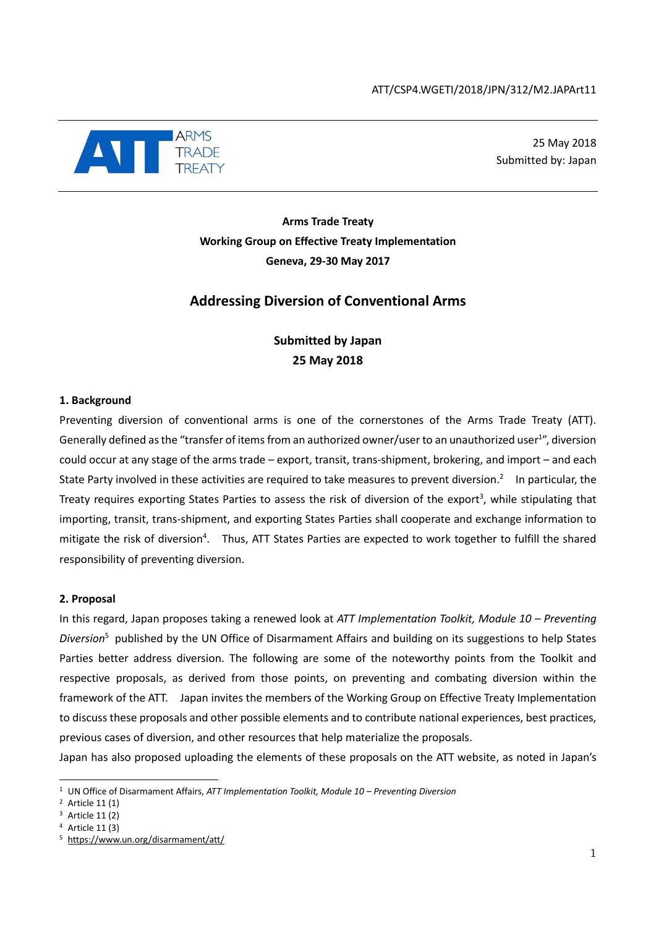

25 May 2018 Submitted by: Japan

**Arms Trade Treaty Working Group on Effective Treaty Implementation Geneva, 29-30 May 2017**

## **Addressing Diversion of Conventional Arms**

## **Submitted by Japan 25 May 2018**

## **1. Background**

Preventing diversion of conventional arms is one of the cornerstones of the Arms Trade Treaty (ATT). Generally defined as the "transfer of items from an authorized owner/user to an unauthorized user<sup>1</sup>", diversion could occur at any stage of the arms trade – export, transit, trans-shipment, brokering, and import – and each State Party involved in these activities are required to take measures to prevent diversion.<sup>2</sup> In particular, the Treaty requires exporting States Parties to assess the risk of diversion of the export<sup>3</sup>, while stipulating that importing, transit, trans-shipment, and exporting States Parties shall cooperate and exchange information to mitigate the risk of diversion<sup>4</sup>. Thus, ATT States Parties are expected to work together to fulfill the shared responsibility of preventing diversion.

## **2. Proposal**

In this regard, Japan proposes taking a renewed look at *ATT Implementation Toolkit, Module 10 – Preventing Diversion*<sup>5</sup> published by the UN Office of Disarmament Affairs and building on its suggestions to help States Parties better address diversion. The following are some of the noteworthy points from the Toolkit and respective proposals, as derived from those points, on preventing and combating diversion within the framework of the ATT. Japan invites the members of the Working Group on Effective Treaty Implementation to discuss these proposals and other possible elements and to contribute national experiences, best practices, previous cases of diversion, and other resources that help materialize the proposals.

Japan has also proposed uploading the elements of these proposals on the ATT website, as noted in Japan's

-

<sup>1</sup> UN Office of Disarmament Affairs, *ATT Implementation Toolkit, Module 10 – Preventing Diversion*

<sup>2</sup> Article 11 (1)

<sup>3</sup> Article 11 (2)

<sup>4</sup> Article 11 (3)

<sup>5</sup> <https://www.un.org/disarmament/att/>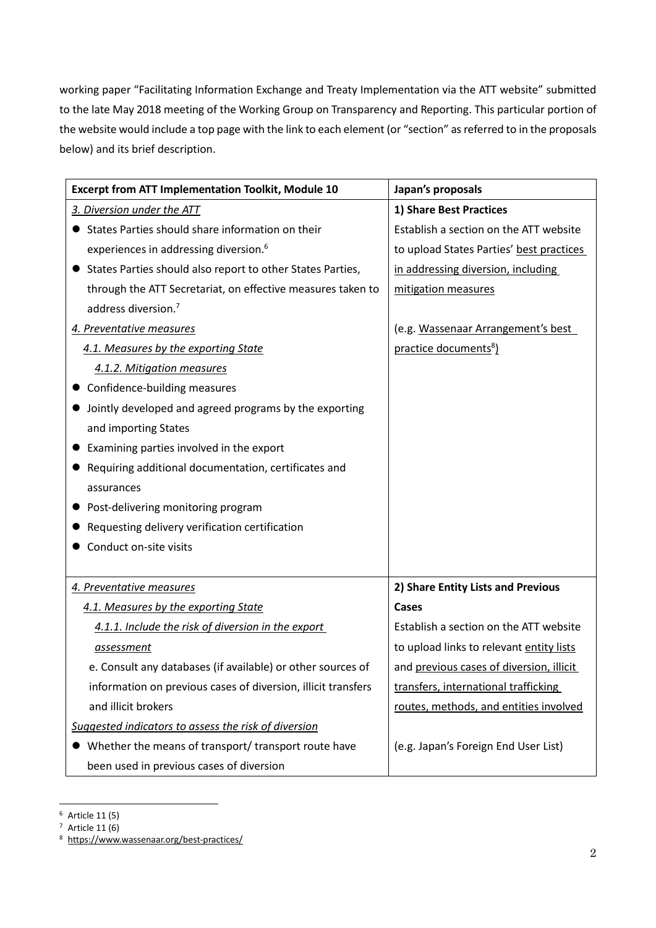working paper "Facilitating Information Exchange and Treaty Implementation via the ATT website" submitted to the late May 2018 meeting of the Working Group on Transparency and Reporting. This particular portion of the website would include a top page with the link to each element (or "section" as referred to in the proposals below) and its brief description.

| <b>Excerpt from ATT Implementation Toolkit, Module 10</b>     | Japan's proposals                        |
|---------------------------------------------------------------|------------------------------------------|
| 3. Diversion under the ATT                                    | 1) Share Best Practices                  |
| States Parties should share information on their              | Establish a section on the ATT website   |
| experiences in addressing diversion. <sup>6</sup>             | to upload States Parties' best practices |
| States Parties should also report to other States Parties,    | in addressing diversion, including       |
| through the ATT Secretariat, on effective measures taken to   | mitigation measures                      |
| address diversion. <sup>7</sup>                               |                                          |
| 4. Preventative measures                                      | (e.g. Wassenaar Arrangement's best       |
| 4.1. Measures by the exporting State                          | practice documents <sup>8</sup> )        |
| 4.1.2. Mitigation measures                                    |                                          |
| Confidence-building measures                                  |                                          |
| Jointly developed and agreed programs by the exporting        |                                          |
| and importing States                                          |                                          |
| Examining parties involved in the export                      |                                          |
| Requiring additional documentation, certificates and          |                                          |
| assurances                                                    |                                          |
| Post-delivering monitoring program                            |                                          |
| Requesting delivery verification certification                |                                          |
| Conduct on-site visits                                        |                                          |
|                                                               |                                          |
| 4. Preventative measures                                      | 2) Share Entity Lists and Previous       |
| 4.1. Measures by the exporting State                          | Cases                                    |
| 4.1.1. Include the risk of diversion in the export            | Establish a section on the ATT website   |
| <u>assessment</u>                                             | to upload links to relevant entity lists |
| e. Consult any databases (if available) or other sources of   | and previous cases of diversion, illicit |
| information on previous cases of diversion, illicit transfers | transfers, international trafficking     |
| and illicit brokers                                           | routes, methods, and entities involved   |
| Suggested indicators to assess the risk of diversion          |                                          |
| Whether the means of transport/ transport route have          | (e.g. Japan's Foreign End User List)     |
| been used in previous cases of diversion                      |                                          |

 $\overline{a}$ <sup>6</sup> Article 11 (5)

 $7$  Article 11 (6)

<sup>8</sup> <https://www.wassenaar.org/best-practices/>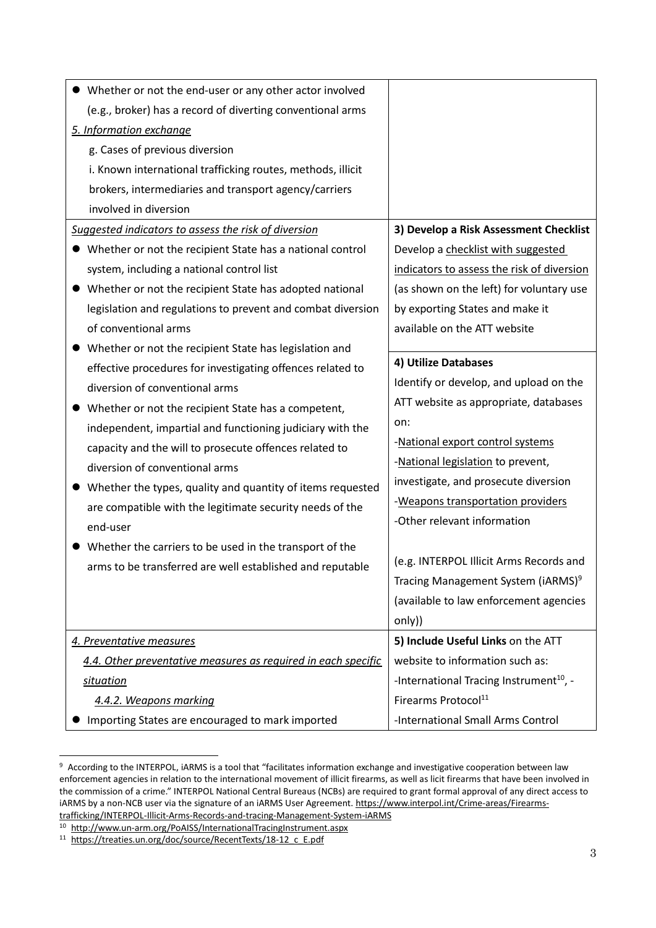| Whether or not the end-user or any other actor involved       |                                                     |
|---------------------------------------------------------------|-----------------------------------------------------|
| (e.g., broker) has a record of diverting conventional arms    |                                                     |
| 5. Information exchange                                       |                                                     |
| g. Cases of previous diversion                                |                                                     |
| i. Known international trafficking routes, methods, illicit   |                                                     |
| brokers, intermediaries and transport agency/carriers         |                                                     |
| involved in diversion                                         |                                                     |
| Suggested indicators to assess the risk of diversion          | 3) Develop a Risk Assessment Checklist              |
| Whether or not the recipient State has a national control     | Develop a checklist with suggested                  |
| system, including a national control list                     | indicators to assess the risk of diversion          |
| Whether or not the recipient State has adopted national       | (as shown on the left) for voluntary use            |
| legislation and regulations to prevent and combat diversion   | by exporting States and make it                     |
| of conventional arms                                          | available on the ATT website                        |
| Whether or not the recipient State has legislation and        |                                                     |
| effective procedures for investigating offences related to    | 4) Utilize Databases                                |
| diversion of conventional arms                                | Identify or develop, and upload on the              |
| Whether or not the recipient State has a competent,           | ATT website as appropriate, databases               |
| independent, impartial and functioning judiciary with the     | on:                                                 |
| capacity and the will to prosecute offences related to        | -National export control systems                    |
| diversion of conventional arms                                | -National legislation to prevent,                   |
| Whether the types, quality and quantity of items requested    | investigate, and prosecute diversion                |
| are compatible with the legitimate security needs of the      | -Weapons transportation providers                   |
| end-user                                                      | -Other relevant information                         |
| Whether the carriers to be used in the transport of the       |                                                     |
| arms to be transferred are well established and reputable     | (e.g. INTERPOL Illicit Arms Records and             |
|                                                               | Tracing Management System (iARMS) <sup>9</sup>      |
|                                                               | (available to law enforcement agencies              |
|                                                               | only))                                              |
| 4. Preventative measures                                      | 5) Include Useful Links on the ATT                  |
| 4.4. Other preventative measures as required in each specific | website to information such as:                     |
| situation                                                     | -International Tracing Instrument <sup>10</sup> , - |
| 4.4.2. Weapons marking                                        | Firearms Protocol <sup>11</sup>                     |
| Importing States are encouraged to mark imported              | -International Small Arms Control                   |

<sup>9</sup> According to the INTERPOL, iARMS is a tool that "facilitates information exchange and investigative cooperation between law enforcement agencies in relation to the international movement of illicit firearms, as well as licit firearms that have been involved in the commission of a crime." INTERPOL National Central Bureaus (NCBs) are required to grant formal approval of any direct access to iARMS by a non-NCB user via the signature of an iARMS User Agreement. [https://www.interpol.int/Crime-areas/Firearms](https://www.interpol.int/Crime-areas/Firearms-trafficking/INTERPOL-Illicit-Arms-Records-and-tracing-Management-System-iARMS)[trafficking/INTERPOL-Illicit-Arms-Records-and-tracing-Management-System-iARMS](https://www.interpol.int/Crime-areas/Firearms-trafficking/INTERPOL-Illicit-Arms-Records-and-tracing-Management-System-iARMS)

 $\overline{\phantom{a}}$ 

<sup>10</sup> <http://www.un-arm.org/PoAISS/InternationalTracingInstrument.aspx>

<sup>11</sup> [https://treaties.un.org/doc/source/RecentTexts/18-12\\_c\\_E.pdf](https://treaties.un.org/doc/source/RecentTexts/18-12_c_E.pdf)